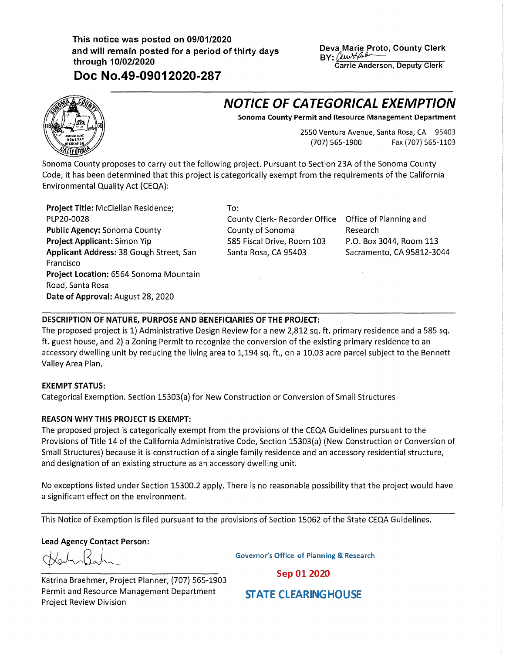## **This notice was posted on 09/01/2020 and will remain posted for a period of thirty days through 10/02/2020**

**Doc No.49-09012020-287** 

**Deva Marie Proto, County Clerk<br>BY:** *(www.fluturemary Clerical Carrie Anderson, Deputy Clerk)* **Carrie Anderson, Deputy Clerk** 

# **NOTICE OF CATEGORICAL EXEMPTION**

**Sonoma County Permit and Resource Management Department** 

2550 Ventura Avenue, Santa Rosa, CA 95403 (707) 565-1900 Fax (707) 565-1103

Sonoma County proposes to carry out the following project. Pursuant to Section 23A of the Sonoma County Code, it has been determined that this project is categorically exempt from the requirements of the California Environmental Quality Act (CEQA):

**Project Title:** McClellan Residence; PLP20-0028 **Public Agency:** Sonoma County **Project Applicant:** Simon Yip **Applicant Address:** 38 Gough Street, San Francisco **Project Location:** 6564 Sonoma Mountain Road, Santa Rosa **Date of Approval:** August 28, 2020

To:

County Clerk- Recorder Office Office of Planning and County of Sonoma 585 Fiscal Drive, Room 103 Santa Rosa, CA 95403

Research P.O. Box 3044, Room 113 Sacramento, CA 95812-3044

### **DESCRIPTION OF NATURE, PURPOSE AND BENEFICIARIES OF THE PROJECT:**

The proposed project is 1) Administrative Design Review for a new 2,812 sq. ft. primary residence and a 585 sq. ft. guest house, and 2) a Zoning Permit to recognize the conversion of the existing primary residence to an accessory dwelling unit by reducing the living area to 1,194 sq. ft., on a 10.03 acre parcel subject to the Bennett Valley Area Plan.

#### **EXEMPT STATUS:**

Categorical Exemption. Section 15303(a) for New Construction or Conversion of Small Structures

#### **REASON WHY THIS PROJECT IS EXEMPT:**

The proposed project is categorically exempt from the provisions of the CEQA Guidelines pursuant to the Provisions of Title 14 of the California Administrative Code, Section 15303{a) (New Construction or Conversion of Small Structures) because it is construction of a single family residence and an accessory residential structure, and designation of an existing structure as an accessory dwelling unit.

No exceptions listed under Section 15300.2 apply. There is no reasonable possibility that the project would have a significant effect on the environment.

This Notice of Exemption is filed pursuant to the provisions of Section 15062 of the State CEQA Guidelines.

**Lead Agency Contact Person:** 

Kertr13ahr

**Governor's Office of Planning & Research** 

Sep 01 2020

Katrina Braehmer, Project Planner, {707) 565-1903 Permit and Resource Management Department Project Review Division

**STATE CLEARINGHOUSE**